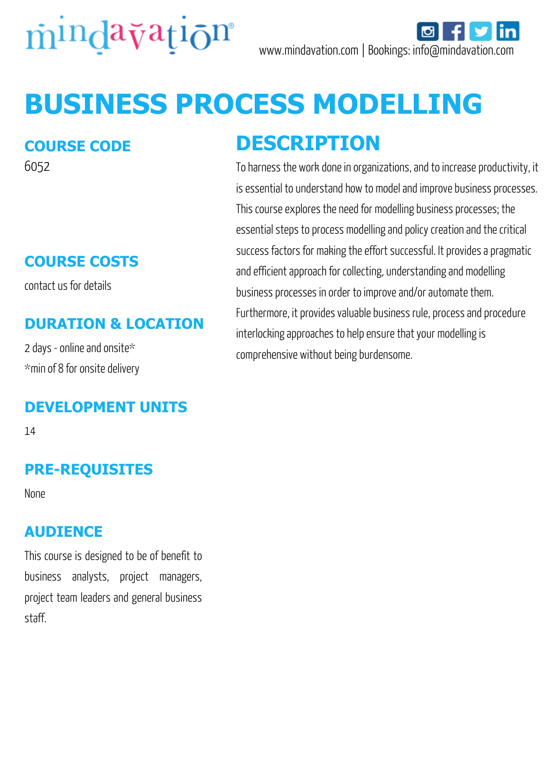

# **BUSINESS PROCESS MODELLING**

#### **COURSE CODE**

6052

# **COURSE COSTS**

contact us for details

### **DURATION & LOCATION**

2 days - online and onsite\* \*min of 8 for onsite delivery

#### **DEVELOPMENT UNITS**

14

## **PRE-REQUISITES**

None

#### **AUDIENCE**

This course is designed to be of benefit to business analysts, project managers, project team leaders and general business staff.

# **DESCRIPTION**

To harness the work done in organizations, and to increase productivity, it is essential to understand how to model and improve business processes. This course explores the need for modelling business processes; the essential steps to process modelling and policy creation and the critical success factors for making the effort successful. It provides a pragmatic and efficient approach for collecting, understanding and modelling business processes in order to improve and/or automate them. Furthermore, it provides valuable business rule, process and procedure interlocking approaches to help ensure that your modelling is comprehensive without being burdensome.